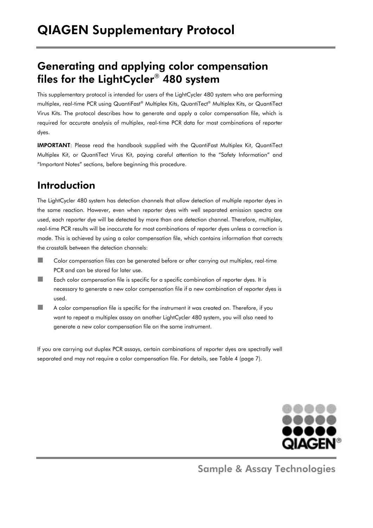# Generating and applying color compensation files for the LightCycler® 480 system

This supplementary protocol is intended for users of the LightCycler 480 system who are performing multiplex, real-time PCR using QuantiFast® Multiplex Kits, QuantiTect® Multiplex Kits, or QuantiTect Virus Kits. The protocol describes how to generate and apply a color compensation file, which is required for accurate analysis of multiplex, real-time PCR data for most combinations of reporter dyes.

IMPORTANT: Please read the handbook supplied with the QuantiFast Multiplex Kit, QuantiTect Multiplex Kit, or QuantiTect Virus Kit, paying careful attention to the "Safety Information" and "Important Notes" sections, before beginning this procedure.

# Introduction

The LightCycler 480 system has detection channels that allow detection of multiple reporter dyes in the same reaction. However, even when reporter dyes with well separated emission spectra are used, each reporter dye will be detected by more than one detection channel. Therefore, multiplex, real-time PCR results will be inaccurate for most combinations of reporter dyes unless a correction is made. This is achieved by using a color compensation file, which contains information that corrects the crosstalk between the detection channels:

- Color compensation files can be generated before or after carrying out multiplex, real-time PCR and can be stored for later use.
- Each color compensation file is specific for a specific combination of reporter dyes. It is necessary to generate a new color compensation file if a new combination of reporter dyes is used.
- A color compensation file is specific for the instrument it was created on. Therefore, if you want to repeat a multiplex assay on another LightCycler 480 system, you will also need to generate a new color compensation file on the same instrument.

If you are carrying out duplex PCR assays, certain combinations of reporter dyes are spectrally well separated and may not require a color compensation file. For details, see Table 4 (page 7).



Sample & Assay Technologies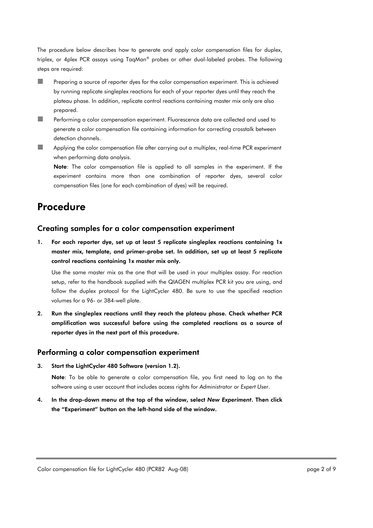The procedure below describes how to generate and apply color compensation files for duplex, triplex, or 4plex PCR assays using TaqMan® probes or other dual-labeled probes. The following steps are required:

- **Preparing a source of reporter dyes for the color compensation experiment. This is achieved** by running replicate singleplex reactions for each of your reporter dyes until they reach the plateau phase. In addition, replicate control reactions containing master mix only are also prepared.
- **Performing a color compensation experiment. Fluorescence data are collected and used to** generate a color compensation file containing information for correcting crosstalk between detection channels.
- Applying the color compensation file after carrying out a multiplex, real-time PCR experiment when performing data analysis.

Note: The color compensation file is applied to all samples in the experiment. If the experiment contains more than one combination of reporter dyes, several color compensation files (one for each combination of dyes) will be required.

# Procedure

## Creating samples for a color compensation experiment

1. For each reporter dye, set up at least 5 replicate singleplex reactions containing 1x master mix, template, and primer–probe set. In addition, set up at least 5 replicate control reactions containing 1x master mix only.

Use the same master mix as the one that will be used in your multiplex assay. For reaction setup, refer to the handbook supplied with the QIAGEN multiplex PCR kit you are using, and follow the duplex protocol for the LightCycler 480. Be sure to use the specified reaction volumes for a 96- or 384-well plate.

2. Run the singleplex reactions until they reach the plateau phase. Check whether PCR amplification was successful before using the completed reactions as a source of reporter dyes in the next part of this procedure.

### Performing a color compensation experiment

3. Start the LightCycler 480 Software (version 1.2).

Note: To be able to generate a color compensation file, you first need to log on to the software using a user account that includes access rights for *Administrator* or *Expert User*.

4. In the drop-down menu at the top of the window, select *New Experiment*. Then click the "Experiment" button on the left-hand side of the window.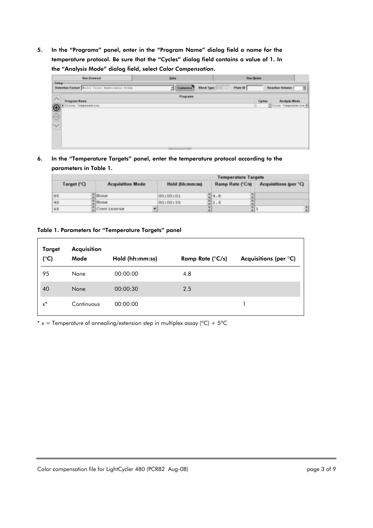5. In the "Programs" panel, enter in the "Program Name" dialog field a name for the temperature protocol. Be sure that the "Cycles" dialog field contains a value of 1. In the "Analysis Mode" dialog field, select *Color Compensation*.

|               | Run Protecol                                  | <b>Data</b> |                                            |                        |          | <b>Run Netes</b> |                             |
|---------------|-----------------------------------------------|-------------|--------------------------------------------|------------------------|----------|------------------|-----------------------------|
| $-$ Setup-    | Detection Format Faiti Color Hydrolysis Probe |             | Datamire                                   | <b>Block Type 1011</b> | Plate ID |                  | <b>Reaction Volume</b><br>귋 |
| ᄉ             |                                               |             | <b>Programs</b>                            |                        |          |                  |                             |
| Program Name  |                                               |             |                                            |                        |          | Cycles           | <b>Analysis Mode</b>        |
|               | Colour Compensation                           |             |                                            |                        |          |                  | Color Compensation #        |
| $\bigcirc$    |                                               |             |                                            |                        |          |                  |                             |
| $\frac{1}{2}$ |                                               |             |                                            |                        |          |                  |                             |
|               |                                               |             |                                            |                        |          |                  |                             |
|               |                                               |             |                                            |                        |          |                  |                             |
|               |                                               |             |                                            |                        |          |                  |                             |
|               |                                               |             |                                            |                        |          |                  |                             |
|               |                                               |             |                                            |                        |          |                  |                             |
|               |                                               |             |                                            |                        |          |                  |                             |
|               |                                               |             | and the control of the control of the con- |                        |          |                  |                             |

6. In the "Temperature Targets" panel, enter the temperature protocol according to the parameters in Table 1.

|                                        |  |                    | <b>Temperature Targets</b> |                  |                       |
|----------------------------------------|--|--------------------|----------------------------|------------------|-----------------------|
| <b>Acquisition Mode</b><br>Target (°C) |  |                    | Hold (hh:mm:ss)            | Ramp Rate (°C/s) | Acquisitions (per °C) |
| 95                                     |  | $\frac{1}{2}$ None | 00:00:01                   | 위4.0             |                       |
| 40                                     |  | $H$ one            | 00100130                   | $= 2.5$          |                       |
| 65                                     |  | ∭Continuous        |                            | ٠                | $\blacksquare$        |

### Table 1. Parameters for "Temperature Targets" panel

| Target<br>(°C) | Acquisition<br>Mode | Hold (hh:mm:ss) | Ramp Rate $(^{\circ}C/s)$ | Acquisitions (per $\mathrm{^{\circ}C}$ ) |
|----------------|---------------------|-----------------|---------------------------|------------------------------------------|
| 95             | None                | 00:00:00        | 4.8                       |                                          |
| 40             | None                | 00:00:30        | 2.5                       |                                          |
| $x^*$          | Continuous          | 00:00:00        |                           |                                          |

\* x = Temperature of annealing/extension step in multiplex assay ( $^{\circ}C$ ) + 5 $^{\circ}C$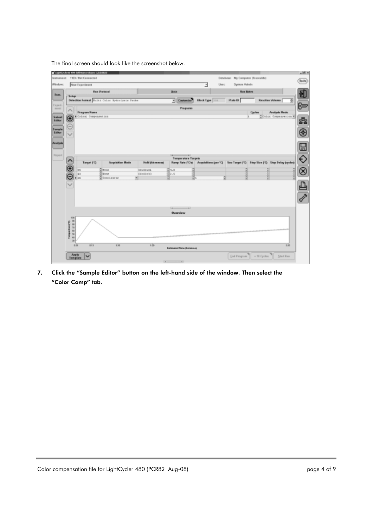The final screen should look like the screenshot below.

|                                        |                       | Unpottedore 400 Sobnes release 1.2.0.0623 |                                                |                   |                                  |                        |       |                                   |                                                                                               |               |
|----------------------------------------|-----------------------|-------------------------------------------|------------------------------------------------|-------------------|----------------------------------|------------------------|-------|-----------------------------------|-----------------------------------------------------------------------------------------------|---------------|
| lesionnant:                            | 1103 / Net Cannected  |                                           |                                                |                   |                                  |                        |       | Database: My Computer (Traceable) |                                                                                               |               |
| Window:                                | <b>New Experiment</b> |                                           |                                                |                   |                                  |                        | User: | System Admin                      |                                                                                               |               |
|                                        |                       | <b>Ren Pretered</b>                       |                                                |                   | <b>Data</b>                      |                        |       | <b>Ren Botes</b>                  |                                                                                               |               |
|                                        | Sekup-                |                                           | Detection Format Bulks, Color Sydentymin Probe |                   | - Castomice                      | <b>Eleck Type 2011</b> |       | Plate 10                          | <b>Reaction Volume [</b>                                                                      | 3             |
|                                        |                       |                                           |                                                |                   |                                  |                        |       |                                   |                                                                                               | $\bullet$     |
|                                        | <b>Pragram Roma</b>   |                                           |                                                |                   | Programs                         |                        |       |                                   | <b>Analysis Wede</b><br>Castien                                                               |               |
| Subset                                 |                       | Miclaug Compensation                      |                                                |                   |                                  |                        |       | ls.                               | Witnice Compensation                                                                          |               |
|                                        |                       |                                           |                                                |                   |                                  |                        |       |                                   |                                                                                               |               |
| Sample<br>Editor                       |                       |                                           |                                                |                   |                                  |                        |       |                                   |                                                                                               |               |
|                                        |                       |                                           |                                                |                   |                                  |                        |       |                                   |                                                                                               |               |
| <b><i><u><b>Desalizada</b></u></i></b> |                       |                                           |                                                |                   |                                  |                        |       |                                   |                                                                                               |               |
|                                        |                       |                                           |                                                |                   |                                  |                        |       |                                   |                                                                                               |               |
| <b>Deport</b>                          |                       |                                           |                                                |                   | <b>Temperature Targets</b>       |                        |       |                                   |                                                                                               |               |
|                                        |                       | Target (13)                               | Acquisition Mode                               | Hold (the monest) |                                  |                        |       |                                   | Ramp Rate (10% Acquisitions (per 'C)   Sec Target (10)   Step Stre (10)   Step Delay Joyclesk |               |
|                                        | 16.81                 |                                           | <b>None</b>                                    | 0010011           | $5 - 1$                          |                        |       |                                   |                                                                                               |               |
|                                        | 40                    |                                           | None                                           | 08100130          | 회6.5                             | ŝ.                     |       |                                   | î                                                                                             |               |
|                                        | id N                  |                                           | Continuous                                     |                   |                                  |                        | 레     |                                   |                                                                                               |               |
|                                        |                       |                                           |                                                |                   |                                  |                        |       |                                   |                                                                                               |               |
|                                        |                       |                                           |                                                |                   |                                  |                        |       |                                   |                                                                                               | $\frac{D}{2}$ |
|                                        |                       |                                           |                                                |                   |                                  |                        |       |                                   |                                                                                               |               |
|                                        |                       |                                           |                                                |                   |                                  |                        |       |                                   |                                                                                               |               |
|                                        |                       |                                           |                                                |                   | <b>Overview</b>                  |                        |       |                                   |                                                                                               |               |
|                                        | 100                   |                                           |                                                |                   |                                  |                        |       |                                   |                                                                                               |               |
|                                        | <b>THERE</b>          |                                           |                                                |                   |                                  |                        |       |                                   |                                                                                               |               |
|                                        |                       |                                           |                                                |                   |                                  |                        |       |                                   |                                                                                               |               |
|                                        |                       |                                           |                                                |                   |                                  |                        |       |                                   |                                                                                               |               |
|                                        |                       |                                           |                                                |                   |                                  |                        |       |                                   |                                                                                               | 18            |
|                                        |                       |                                           |                                                |                   |                                  |                        |       |                                   |                                                                                               |               |
|                                        | 10.04                 | 853                                       | $k$ $ n $                                      | 106               | <b>Extensived Time Burnmooss</b> |                        |       |                                   |                                                                                               |               |

7. Click the "Sample Editor" button on the left-hand side of the window. Then select the "Color Comp" tab.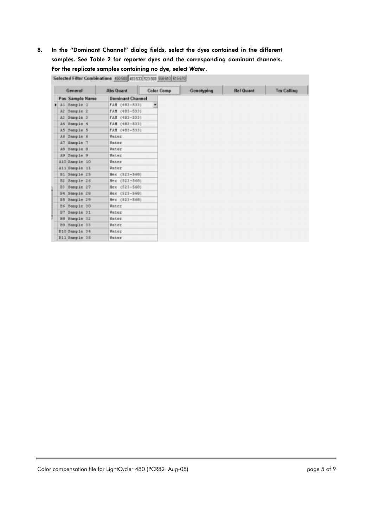## 8. In the "Dominant Channel" dialog fields, select the dyes contained in the different samples. See Table 2 for reporter dyes and the corresponding dominant channels. For the replicate samples containing no dye, select *Water*.

|     | General         | <b>Abs Quant</b>        | <b>Color Comp</b> | Genotyping | <b>Rel Quant</b> | <b>Tm Calling</b> |
|-----|-----------------|-------------------------|-------------------|------------|------------------|-------------------|
|     | Pas Sample Name | <b>Dominant Channel</b> |                   |            |                  |                   |
| ٠   | A1 Sample 1     | FAM (483-533)           | ٠                 |            |                  |                   |
| A2  | Sample 2        | FAM (483-533)           |                   |            |                  |                   |
| R3  | Sample 3        | FAM (483-533)           |                   |            |                  |                   |
| A4  | Sample 4        | FAM (483-533)           |                   |            |                  |                   |
| 85  | Sample 5        | FAM (483-533)           |                   |            |                  |                   |
| A6  | Sample 6        | Water                   |                   |            |                  |                   |
| k7  | Sample 7        | Water                   |                   |            |                  |                   |
| AD. | Sample 8        | Water                   |                   |            |                  |                   |
| A9  | Sample 9        | Water                   |                   |            |                  |                   |
|     | A10 Sample 10   | Water                   |                   |            |                  |                   |
|     | A11 Sample 11   | Water                   |                   |            |                  |                   |
| B1  | Sample 25       | $(523 - 568)$<br>Hex    |                   |            |                  |                   |
| B2  | Sample 26       | $(523 - 568)$<br>Hex    |                   |            |                  |                   |
| B3  | Sample 27       | $(523 - 568)$<br>Hex    |                   |            |                  |                   |
|     | B4 Sample 28    | $(523 - 568)$<br>Hex    |                   |            |                  |                   |
| B5  | Sample 29       | Hex (523-568)           |                   |            |                  |                   |
| B6  | Sample 30       | Water                   |                   |            |                  |                   |
| B7  | Sample 31       | Water                   |                   |            |                  |                   |
| BB  | Sample 32       | Water                   |                   |            |                  |                   |
| B9  | Sample 33       | Water                   |                   |            |                  |                   |
|     | B10 Sample 34   | Water                   |                   |            |                  |                   |
|     | B11 Sample 35   | Water                   |                   |            |                  |                   |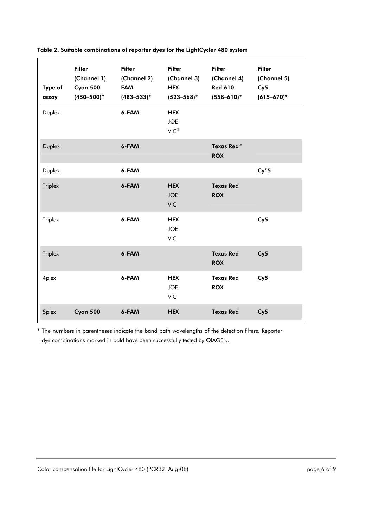| Type of<br>assay | <b>Filter</b><br>(Channel 1)<br>Cyan 500<br>$(450 - 500)^*$ | <b>Filter</b><br>(Channel 2)<br><b>FAM</b><br>$(483 - 533)^*$ | <b>Filter</b><br>(Channel 3)<br><b>HEX</b><br>$(523 - 568)^*$ | <b>Filter</b><br>(Channel 4)<br><b>Red 610</b><br>$(558 - 610)^*$ | <b>Filter</b><br>(Channel 5)<br>Cy5<br>$(615 - 670)^*$ |
|------------------|-------------------------------------------------------------|---------------------------------------------------------------|---------------------------------------------------------------|-------------------------------------------------------------------|--------------------------------------------------------|
| Duplex           |                                                             | 6-FAM                                                         | <b>HEX</b><br><b>JOE</b><br>$VIC^{\circledR}$                 |                                                                   |                                                        |
| Duplex           |                                                             | 6-FAM                                                         |                                                               | <b>Texas Red®</b><br><b>ROX</b>                                   |                                                        |
| Duplex           |                                                             | 6-FAM                                                         |                                                               |                                                                   | $Cy^{\circledR}5$                                      |
| <b>Triplex</b>   |                                                             | 6-FAM                                                         | <b>HEX</b><br><b>JOE</b><br><b>VIC</b>                        | <b>Texas Red</b><br><b>ROX</b>                                    |                                                        |
| Triplex          |                                                             | 6-FAM                                                         | <b>HEX</b><br><b>JOE</b><br><b>VIC</b>                        |                                                                   | Cy5                                                    |
| <b>Triplex</b>   |                                                             | 6-FAM                                                         |                                                               | <b>Texas Red</b><br><b>ROX</b>                                    | Cy5                                                    |
| 4plex            |                                                             | 6-FAM                                                         | <b>HEX</b><br><b>JOE</b><br><b>VIC</b>                        | <b>Texas Red</b><br><b>ROX</b>                                    | Cy5                                                    |
| 5plex            | Cyan 500                                                    | 6-FAM                                                         | <b>HEX</b>                                                    | <b>Texas Red</b>                                                  | Cy5                                                    |

Table 2. Suitable combinations of reporter dyes for the LightCycler 480 system

\* The numbers in parentheses indicate the band path wavelengths of the detection filters. Reporter dye combinations marked in bold have been successfully tested by QIAGEN.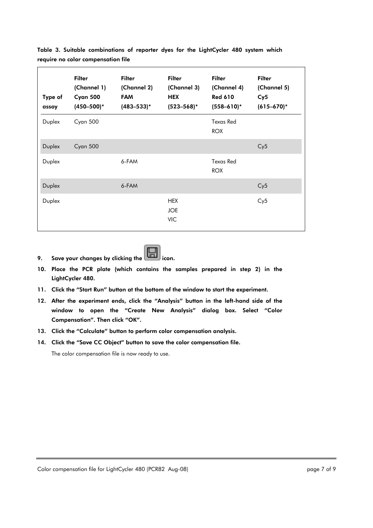| Type of<br>assay | <b>Filter</b><br>(Channel 1)<br>Cyan 500<br>$(450 - 500)^*$ | <b>Filter</b><br>(Channel 2)<br><b>FAM</b><br>$(483 - 533)^*$ | <b>Filter</b><br>(Channel 3)<br><b>HEX</b><br>$(523 - 568)^*$ | <b>Filter</b><br>(Channel 4)<br><b>Red 610</b><br>$(558 - 610)^*$ | <b>Filter</b><br>(Channel 5)<br>Cy5<br>$(615 - 670)^*$ |
|------------------|-------------------------------------------------------------|---------------------------------------------------------------|---------------------------------------------------------------|-------------------------------------------------------------------|--------------------------------------------------------|
| Duplex           | Cyan 500                                                    |                                                               |                                                               | <b>Texas Red</b><br><b>ROX</b>                                    |                                                        |
| Duplex           | Cyan 500                                                    |                                                               |                                                               |                                                                   | Cy5                                                    |
| Duplex           |                                                             | 6-FAM                                                         |                                                               | <b>Texas Red</b><br><b>ROX</b>                                    |                                                        |
| Duplex           |                                                             | 6-FAM                                                         |                                                               |                                                                   | Cy5                                                    |
| Duplex           |                                                             |                                                               | <b>HEX</b><br><b>JOE</b><br><b>VIC</b>                        |                                                                   | Cy5                                                    |

Table 3. Suitable combinations of reporter dyes for the LightCycler 480 system which require no color compensation file

9. Save your changes by clicking the  $\boxed{\Box}$  icon.



- 11. Click the "Start Run" button at the bottom of the window to start the experiment.
- 12. After the experiment ends, click the "Analysis" button in the left-hand side of the window to open the "Create New Analysis" dialog box. Select "Color Compensation". Then click "OK".
- 13. Click the "Calculate" button to perform color compensation analysis.
- 14. Click the "Save CC Object" button to save the color compensation file.

The color compensation file is now ready to use.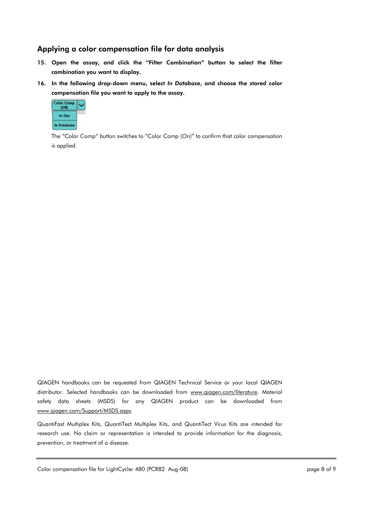## Applying a color compensation file for data analysis

- 15. Open the assay, and click the "Filter Combination" button to select the filter combination you want to display.
- 16. In the following drop-down menu, select *In Database*, and choose the stored color compensation file you want to apply to the assay.



The "Color Comp" button switches to "Color Comp (On)" to confirm that color compensation is applied.

QIAGEN handbooks can be requested from QIAGEN Technical Service or your local QIAGEN distributor. Selected handbooks can be downloaded from www.qiagen.com/literature. Material safety data sheets (MSDS) for any QIAGEN product can be downloaded from www.qiagen.com/Support/MSDS.aspx.

QuantiFast Multiplex Kits, QuantiTect Multiplex Kits, and QuantiTect Virus Kits are intended for research use. No claim or representation is intended to provide information for the diagnosis, prevention, or treatment of a disease.

Color compensation file for LightCycler 480 (PCR82 Aug-08) color compensation file for LightCycler 480 (PCR82 Aug-08)